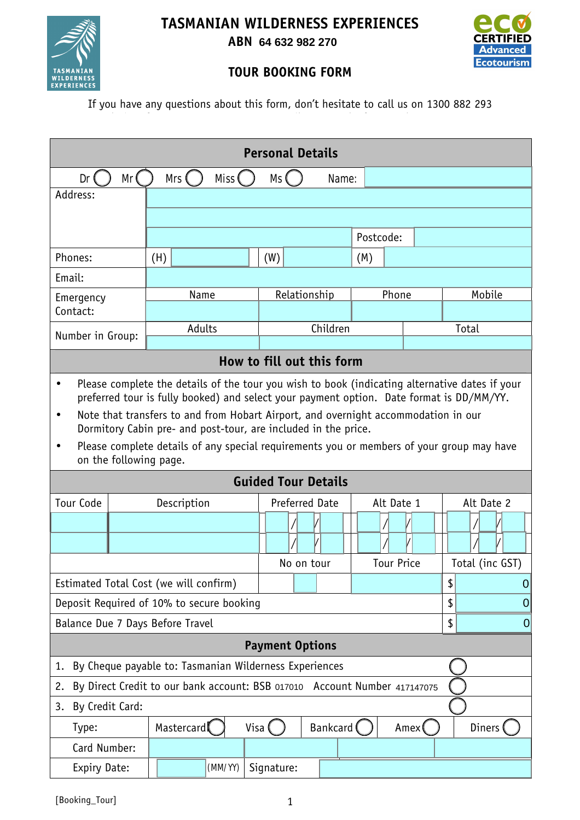



**ABN 65 632 316 265 64 632 982 270**



## **TOUR BOOKING FORM**

If you have any questions about this form, don't hesitate to call us on 1300 882 293

| <b>Personal Details</b>                                                                        |                        |                                                                                                                                                      |                     |                       |           |                   |                |                 |            |             |  |  |
|------------------------------------------------------------------------------------------------|------------------------|------------------------------------------------------------------------------------------------------------------------------------------------------|---------------------|-----------------------|-----------|-------------------|----------------|-----------------|------------|-------------|--|--|
| Miss (<br>Mr<br>Mrs (<br>Dr<br>Ms (<br>Name:                                                   |                        |                                                                                                                                                      |                     |                       |           |                   |                |                 |            |             |  |  |
| Address:                                                                                       |                        |                                                                                                                                                      |                     |                       |           |                   |                |                 |            |             |  |  |
|                                                                                                |                        |                                                                                                                                                      |                     |                       |           |                   |                |                 |            |             |  |  |
|                                                                                                |                        |                                                                                                                                                      |                     |                       | Postcode: |                   |                |                 |            |             |  |  |
| Phones:                                                                                        |                        | (H)                                                                                                                                                  |                     | (W)                   |           | (M)               |                |                 |            |             |  |  |
| Email:                                                                                         |                        |                                                                                                                                                      |                     |                       |           |                   |                |                 |            |             |  |  |
| Emergency<br>Contact:                                                                          |                        | Name                                                                                                                                                 |                     | Relationship          |           |                   | Phone          |                 | Mobile     |             |  |  |
|                                                                                                |                        |                                                                                                                                                      |                     |                       |           |                   |                |                 |            |             |  |  |
| Number in Group:                                                                               |                        | Adults                                                                                                                                               |                     | Children              |           |                   |                |                 | Total      |             |  |  |
| How to fill out this form                                                                      |                        |                                                                                                                                                      |                     |                       |           |                   |                |                 |            |             |  |  |
| Please complete the details of the tour you wish to book (indicating alternative dates if your |                        |                                                                                                                                                      |                     |                       |           |                   |                |                 |            |             |  |  |
|                                                                                                |                        | preferred tour is fully booked) and select your payment option. Date format is DD/MM/YY.                                                             |                     |                       |           |                   |                |                 |            |             |  |  |
| $\bullet$                                                                                      |                        | Note that transfers to and from Hobart Airport, and overnight accommodation in our<br>Dormitory Cabin pre- and post-tour, are included in the price. |                     |                       |           |                   |                |                 |            |             |  |  |
|                                                                                                |                        | Please complete details of any special requirements you or members of your group may have                                                            |                     |                       |           |                   |                |                 |            |             |  |  |
|                                                                                                | on the following page. |                                                                                                                                                      |                     |                       |           |                   |                |                 |            |             |  |  |
| <b>Guided Tour Details</b>                                                                     |                        |                                                                                                                                                      |                     |                       |           |                   |                |                 |            |             |  |  |
| <b>Tour Code</b><br>Description                                                                |                        |                                                                                                                                                      |                     | <b>Preferred Date</b> |           |                   | Alt Date 1     |                 | Alt Date 2 |             |  |  |
|                                                                                                |                        |                                                                                                                                                      |                     |                       |           |                   |                |                 |            |             |  |  |
|                                                                                                |                        |                                                                                                                                                      |                     |                       |           |                   |                |                 |            |             |  |  |
|                                                                                                |                        |                                                                                                                                                      | No on tour          |                       |           | <b>Tour Price</b> |                | Total (inc GST) |            |             |  |  |
| Estimated Total Cost (we will confirm)                                                         |                        |                                                                                                                                                      |                     |                       |           |                   |                |                 | \$         | $\mathbf 0$ |  |  |
| Deposit Required of 10% to secure booking                                                      |                        |                                                                                                                                                      |                     |                       |           | \$                | $\overline{0}$ |                 |            |             |  |  |
| Balance Due 7 Days Before Travel                                                               |                        |                                                                                                                                                      |                     |                       |           |                   | \$             | 0               |            |             |  |  |
| <b>Payment Options</b>                                                                         |                        |                                                                                                                                                      |                     |                       |           |                   |                |                 |            |             |  |  |
| By Cheque payable to: Tasmanian Wilderness Experiences<br>1.                                   |                        |                                                                                                                                                      |                     |                       |           |                   |                |                 |            |             |  |  |
| By Direct Credit to our bank account: BSB 017010 Account Number 417147075<br>2.                |                        |                                                                                                                                                      |                     |                       |           |                   |                |                 |            |             |  |  |
| By Credit Card:<br>3.                                                                          |                        |                                                                                                                                                      |                     |                       |           |                   |                |                 |            |             |  |  |
| Mastercard<br>Visa (<br>Type:                                                                  |                        |                                                                                                                                                      | Bankcard (<br>Amex( |                       |           |                   | Diners         |                 |            |             |  |  |
| Card Number:                                                                                   |                        |                                                                                                                                                      |                     |                       |           |                   |                |                 |            |             |  |  |
| Expiry Date:                                                                                   |                        |                                                                                                                                                      | (MM/YY)             | Signature:            |           |                   |                |                 |            |             |  |  |